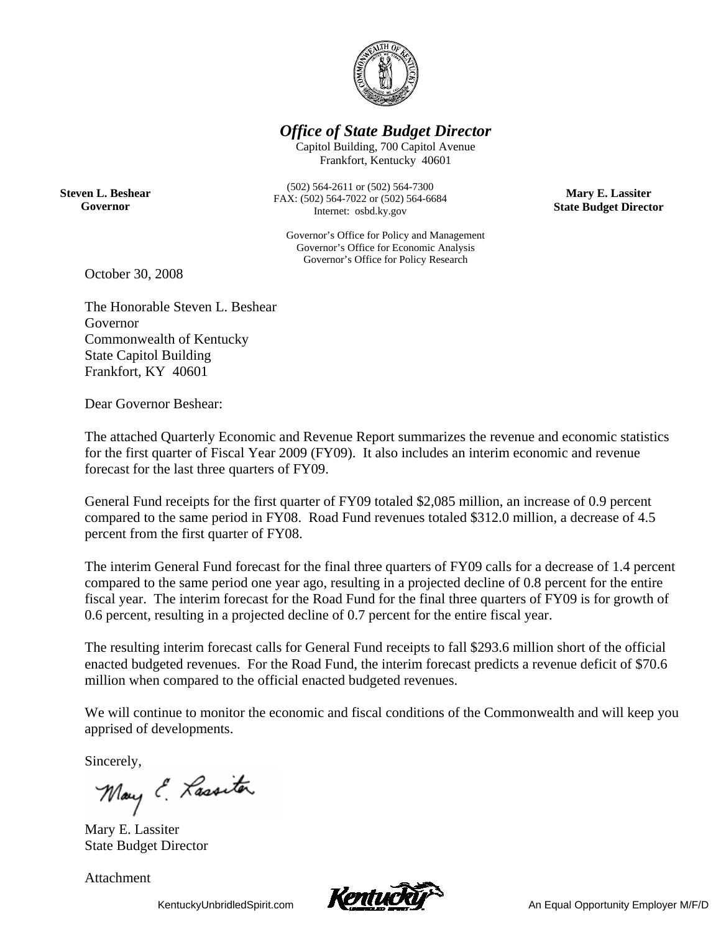

*Office of State Budget Director* 

Capitol Building, 700 Capitol Avenue Frankfort, Kentucky 40601

**Steven L. Beshear Governor** 

(502) 564-2611 or (502) 564-7300 FAX: (502) 564-7022 or (502) 564-6684 Internet: osbd.ky.gov

Governor's Office for Policy and Management Governor's Office for Economic Analysis Governor's Office for Policy Research

**Mary E. Lassiter State Budget Director** 

October 30, 2008

The Honorable Steven L. Beshear Governor Commonwealth of Kentucky State Capitol Building Frankfort, KY 40601

Dear Governor Beshear:

The attached Quarterly Economic and Revenue Report summarizes the revenue and economic statistics for the first quarter of Fiscal Year 2009 (FY09). It also includes an interim economic and revenue forecast for the last three quarters of FY09.

General Fund receipts for the first quarter of FY09 totaled \$2,085 million, an increase of 0.9 percent compared to the same period in FY08. Road Fund revenues totaled \$312.0 million, a decrease of 4.5 percent from the first quarter of FY08.

The interim General Fund forecast for the final three quarters of FY09 calls for a decrease of 1.4 percent compared to the same period one year ago, resulting in a projected decline of 0.8 percent for the entire fiscal year. The interim forecast for the Road Fund for the final three quarters of FY09 is for growth of 0.6 percent, resulting in a projected decline of 0.7 percent for the entire fiscal year.

The resulting interim forecast calls for General Fund receipts to fall \$293.6 million short of the official enacted budgeted revenues. For the Road Fund, the interim forecast predicts a revenue deficit of \$70.6 million when compared to the official enacted budgeted revenues.

We will continue to monitor the economic and fiscal conditions of the Commonwealth and will keep you apprised of developments.

Sincerely,<br>May E. Lassiter

Mary E. Lassiter State Budget Director

Attachment

KentuckyUnbridledSpirit.com **Kentucky**<br>KentuckyUnbridledSpirit.com **Kentucky**<br>An Equal Opportunity Employer M/F/D

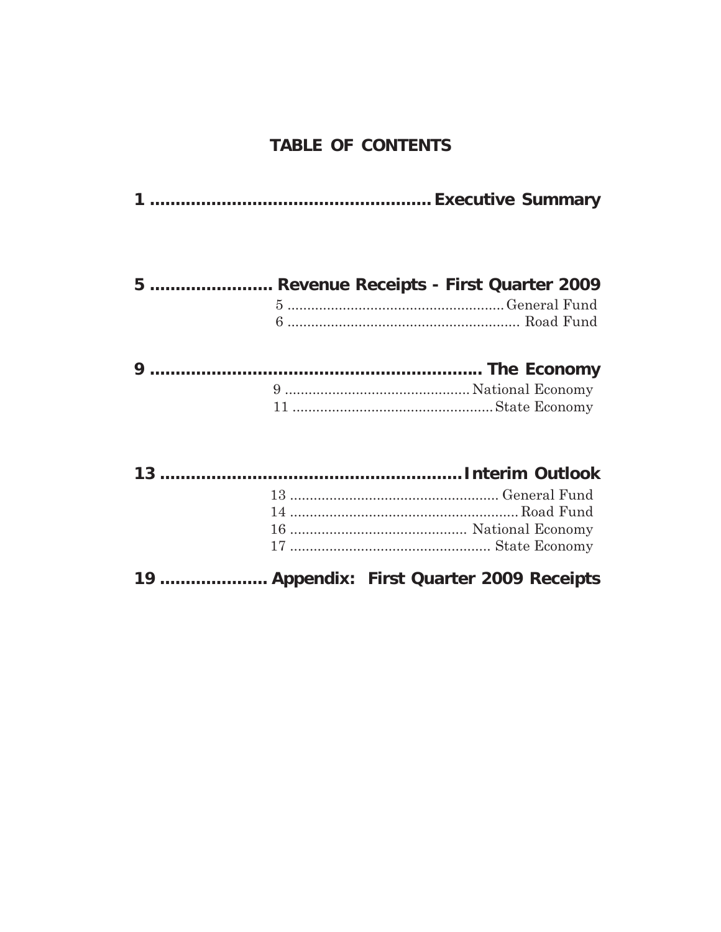### TABLE OF CONTENTS

|   | 5  Revenue Receipts - First Quarter 2009  |
|---|-------------------------------------------|
|   |                                           |
|   |                                           |
| 9 |                                           |
|   |                                           |
|   |                                           |
|   | 19  Appendix: First Quarter 2009 Receipts |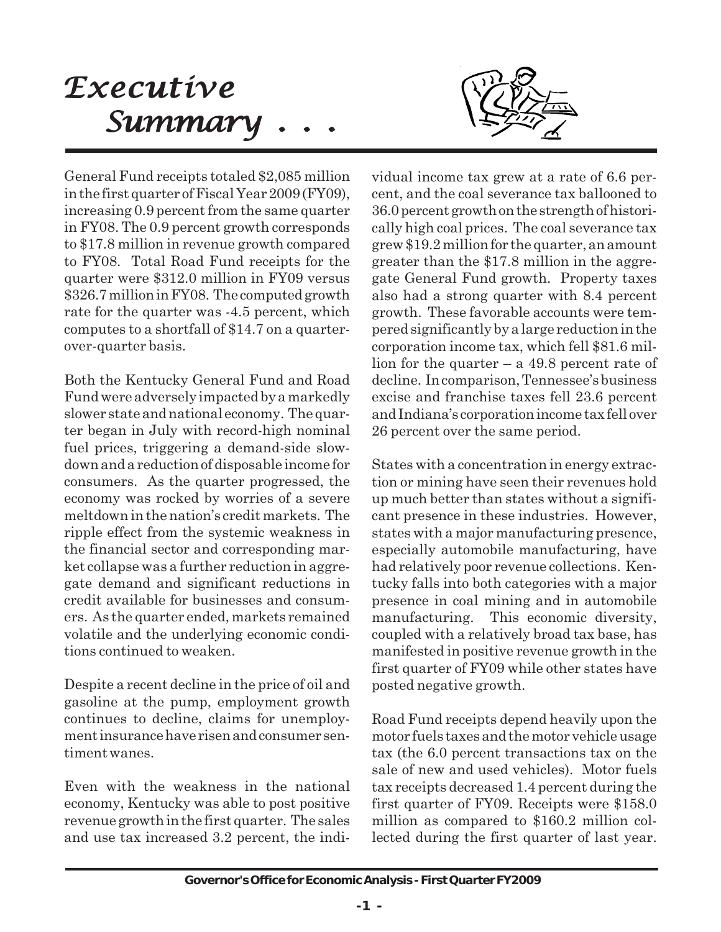



General Fund receipts totaled \$2,085 million in the first quarter of Fiscal Year 2009 (FY09), increasing 0.9 percent from the same quarter in FY08. The 0.9 percent growth corresponds to \$17.8 million in revenue growth compared to FY08. Total Road Fund receipts for the quarter were \$312.0 million in FY09 versus \$326.7 million in FY08. The computed growth rate for the quarter was -4.5 percent, which computes to a shortfall of \$14.7 on a quarterover-quarter basis.

Both the Kentucky General Fund and Road Fund were adversely impacted by a markedly slower state and national economy. The quarter began in July with record-high nominal fuel prices, triggering a demand-side slowdown and a reduction of disposable income for consumers. As the quarter progressed, the economy was rocked by worries of a severe meltdown in the nation's credit markets. The ripple effect from the systemic weakness in the financial sector and corresponding market collapse was a further reduction in aggregate demand and significant reductions in credit available for businesses and consumers. As the quarter ended, markets remained volatile and the underlying economic conditions continued to weaken.

Despite a recent decline in the price of oil and gasoline at the pump, employment growth continues to decline, claims for unemployment insurance have risen and consumer sentiment wanes.

Even with the weakness in the national economy, Kentucky was able to post positive revenue growth in the first quarter. The sales and use tax increased 3.2 percent, the individual income tax grew at a rate of 6.6 percent, and the coal severance tax ballooned to 36.0 percent growth on the strength of historically high coal prices. The coal severance tax grew \$19.2 million for the quarter, an amount greater than the \$17.8 million in the aggregate General Fund growth. Property taxes also had a strong quarter with 8.4 percent growth. These favorable accounts were tempered significantly by a large reduction in the corporation income tax, which fell \$81.6 million for the quarter – a 49.8 percent rate of decline. In comparison, Tennessee's business excise and franchise taxes fell 23.6 percent and Indiana's corporation income tax fell over 26 percent over the same period.

States with a concentration in energy extraction or mining have seen their revenues hold up much better than states without a significant presence in these industries. However, states with a major manufacturing presence, especially automobile manufacturing, have had relatively poor revenue collections. Kentucky falls into both categories with a major presence in coal mining and in automobile manufacturing. This economic diversity, coupled with a relatively broad tax base, has manifested in positive revenue growth in the first quarter of FY09 while other states have posted negative growth.

Road Fund receipts depend heavily upon the motor fuels taxes and the motor vehicle usage tax (the 6.0 percent transactions tax on the sale of new and used vehicles). Motor fuels tax receipts decreased 1.4 percent during the first quarter of FY09. Receipts were \$158.0 million as compared to \$160.2 million collected during the first quarter of last year.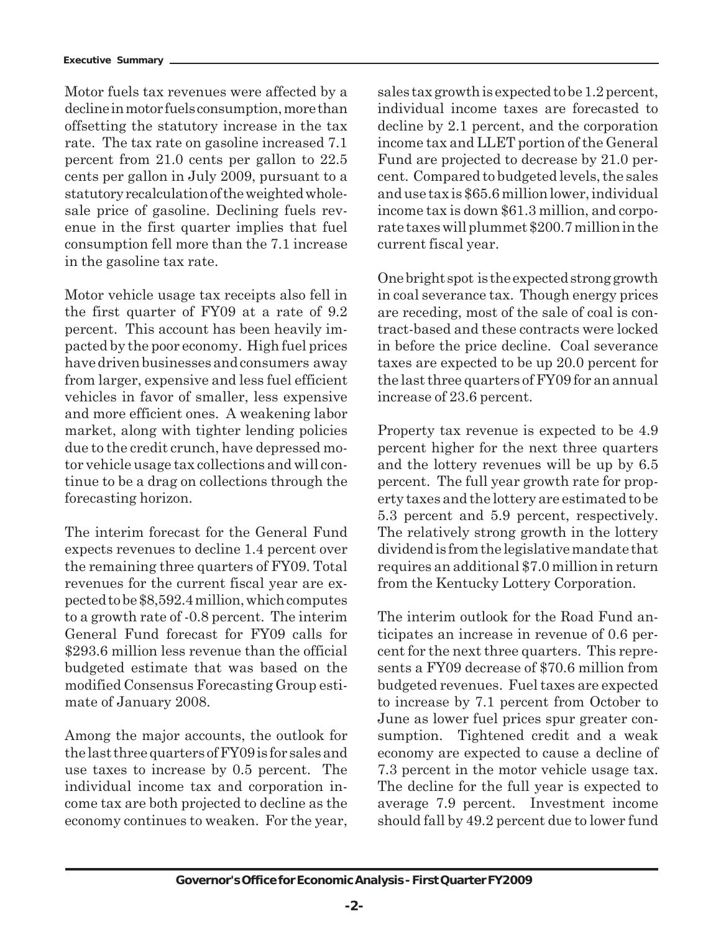Motor fuels tax revenues were affected by a decline in motor fuels consumption, more than offsetting the statutory increase in the tax rate. The tax rate on gasoline increased 7.1 percent from 21.0 cents per gallon to 22.5 cents per gallon in July 2009, pursuant to a statutory recalculation of the weighted wholesale price of gasoline. Declining fuels revenue in the first quarter implies that fuel consumption fell more than the 7.1 increase in the gasoline tax rate.

Motor vehicle usage tax receipts also fell in the first quarter of FY09 at a rate of 9.2 percent. This account has been heavily impacted by the poor economy. High fuel prices have driven businesses and consumers away from larger, expensive and less fuel efficient vehicles in favor of smaller, less expensive and more efficient ones. A weakening labor market, along with tighter lending policies due to the credit crunch, have depressed motor vehicle usage tax collections and will continue to be a drag on collections through the forecasting horizon.

The interim forecast for the General Fund expects revenues to decline 1.4 percent over the remaining three quarters of FY09. Total revenues for the current fiscal year are expected to be \$8,592.4 million, which computes to a growth rate of -0.8 percent. The interim General Fund forecast for FY09 calls for \$293.6 million less revenue than the official budgeted estimate that was based on the modified Consensus Forecasting Group estimate of January 2008.

Among the major accounts, the outlook for the last three quarters of FY09 is for sales and use taxes to increase by 0.5 percent. The individual income tax and corporation income tax are both projected to decline as the economy continues to weaken. For the year, sales tax growth is expected to be 1.2 percent, individual income taxes are forecasted to decline by 2.1 percent, and the corporation income tax and LLET portion of the General Fund are projected to decrease by 21.0 percent. Compared to budgeted levels, the sales and use tax is \$65.6 million lower, individual income tax is down \$61.3 million, and corporate taxes will plummet \$200.7 million in the current fiscal year.

One bright spot is the expected strong growth in coal severance tax. Though energy prices are receding, most of the sale of coal is contract-based and these contracts were locked in before the price decline. Coal severance taxes are expected to be up 20.0 percent for the last three quarters of FY09 for an annual increase of 23.6 percent.

Property tax revenue is expected to be 4.9 percent higher for the next three quarters and the lottery revenues will be up by 6.5 percent. The full year growth rate for property taxes and the lottery are estimated to be 5.3 percent and 5.9 percent, respectively. The relatively strong growth in the lottery dividend is from the legislative mandate that requires an additional \$7.0 million in return from the Kentucky Lottery Corporation.

The interim outlook for the Road Fund anticipates an increase in revenue of 0.6 percent for the next three quarters. This represents a FY09 decrease of \$70.6 million from budgeted revenues. Fuel taxes are expected to increase by 7.1 percent from October to June as lower fuel prices spur greater consumption. Tightened credit and a weak economy are expected to cause a decline of 7.3 percent in the motor vehicle usage tax. The decline for the full year is expected to average 7.9 percent. Investment income should fall by 49.2 percent due to lower fund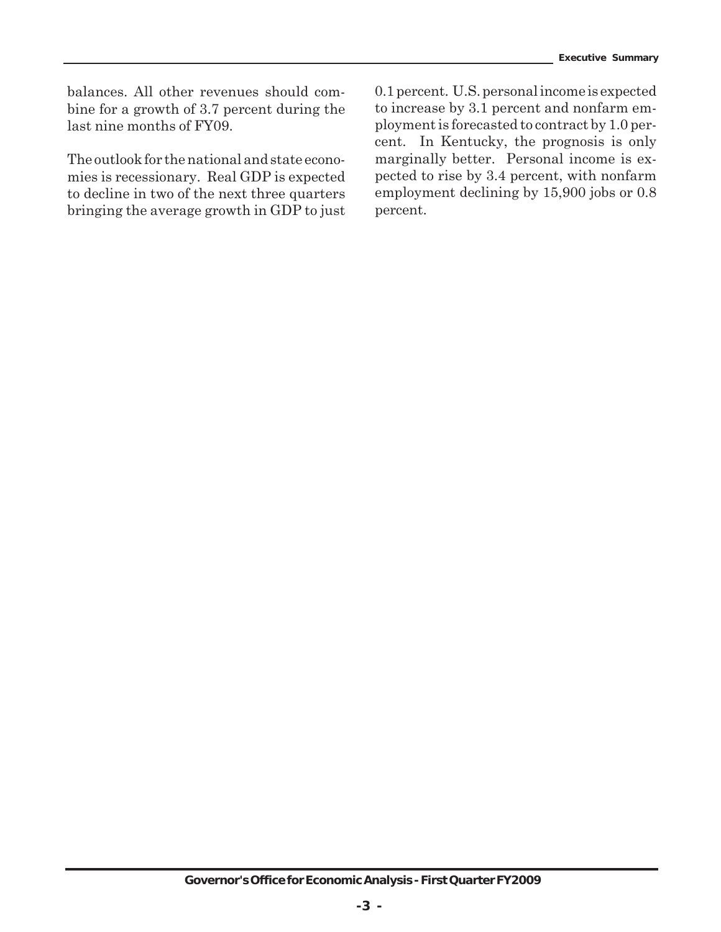balances. All other revenues should combine for a growth of 3.7 percent during the last nine months of FY09.

The outlook for the national and state economies is recessionary. Real GDP is expected to decline in two of the next three quarters bringing the average growth in GDP to just

rest line months of 1 100.<br>
cent. In Kentucky, the prognosis is only 0.1 percent. U.S. personal income is expected to increase by 3.1 percent and nonfarm employment is forecasted to contract by 1.0 permarginally better. Personal income is expected to rise by 3.4 percent, with nonfarm employment declining by 15,900 jobs or 0.8 percent.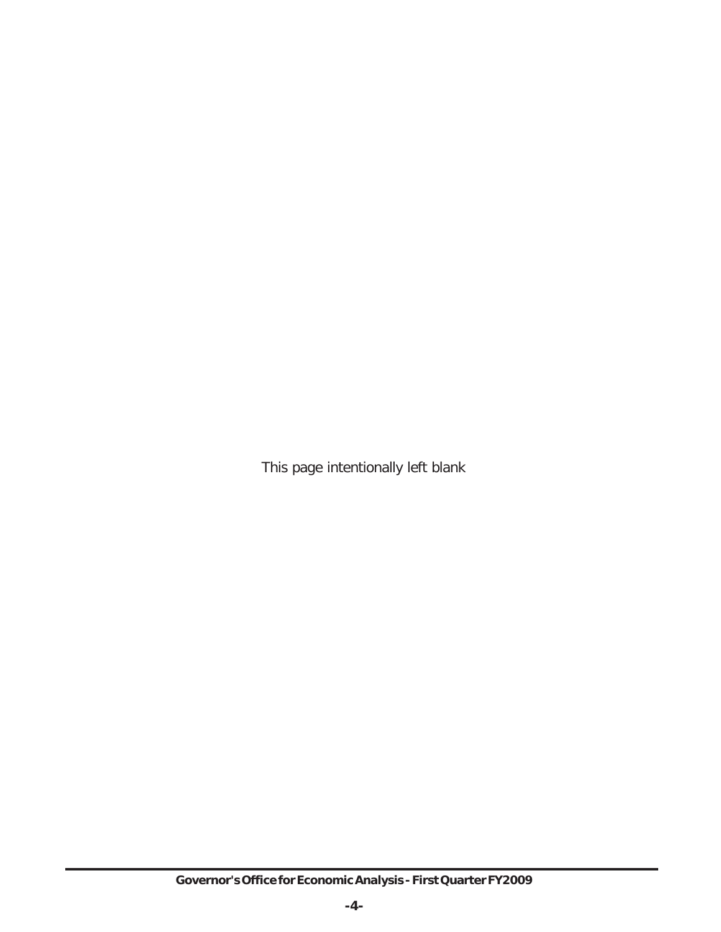This page intentionally left blank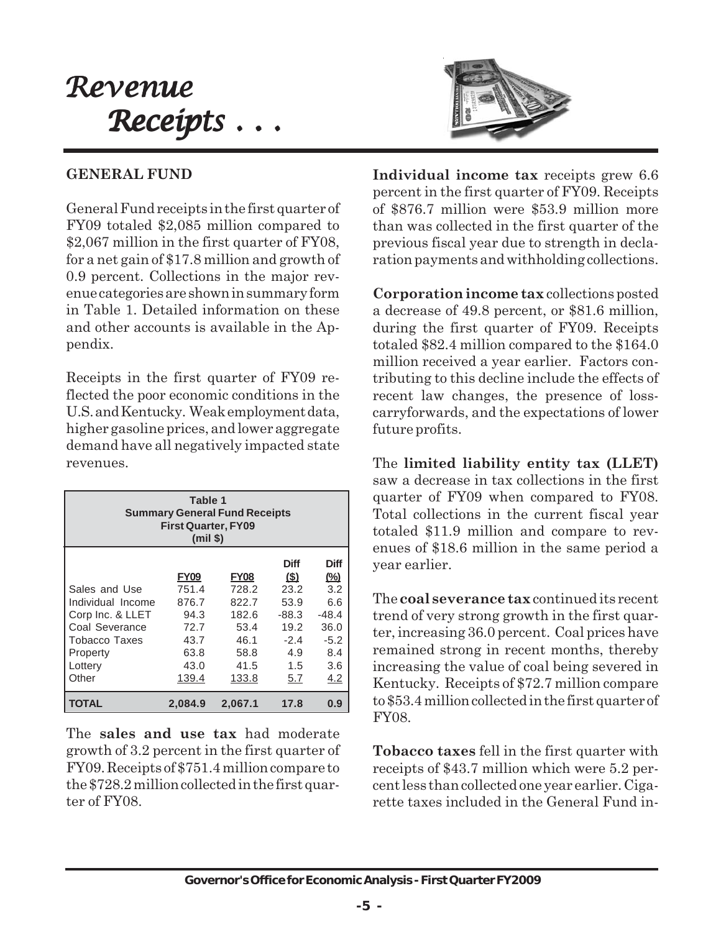## **Quarterly Economic & Revene Report First Quarter 2007** *Receipts . . . Receipts . . . Revenue Revenue*



#### **GENERAL FUND**

General Fund receipts in the first quarter of FY09 totaled \$2,085 million compared to \$2,067 million in the first quarter of FY08, for a net gain of \$17.8 million and growth of 0.9 percent. Collections in the major revenue categories are shown in summary form in Table 1. Detailed information on these and other accounts is available in the Appendix.

Receipts in the first quarter of FY09 reflected the poor economic conditions in the U.S. and Kentucky. Weak employment data, higher gasoline prices, and lower aggregate demand have all negatively impacted state revenues.

| Table 1<br><b>Summary General Fund Receipts</b><br><b>First Quarter, FY09</b><br>$(mil$ \$) |                               |             |                      |                           |  |  |
|---------------------------------------------------------------------------------------------|-------------------------------|-------------|----------------------|---------------------------|--|--|
|                                                                                             | <b>FY09</b>                   | <b>FY08</b> | Diff<br>$\mathbf{B}$ | <b>Diff</b><br><u>(%)</u> |  |  |
| Sales and Use                                                                               | 751.4                         | 728.2       | 23.2                 | 3.2                       |  |  |
| Individual Income                                                                           | 53.9<br>876.7<br>822.7<br>6.6 |             |                      |                           |  |  |
| Corp Inc. & LLET                                                                            | 94.3                          | 182.6       | $-88.3$              | $-48.4$                   |  |  |
| Coal Severance                                                                              | 72.7                          | 53.4        | 19.2                 | 36.0                      |  |  |
| <b>Tobacco Taxes</b>                                                                        | 43.7                          | 46.1        | $-2.4$               | $-5.2$                    |  |  |
| Property                                                                                    | 63.8                          | 58.8        | 4.9                  | 8.4                       |  |  |
| Lottery                                                                                     | 43.0                          | 41.5        | 1.5                  | 3.6                       |  |  |
| Other                                                                                       | 139.4                         | 133.8       | 5.7                  | 4.2                       |  |  |
| <b>TOTAL</b>                                                                                | 2,084.9                       | 2,067.1     | 17.8                 | 0.9                       |  |  |

The **sales and use tax** had moderate growth of 3.2 percent in the first quarter of FY09. Receipts of \$751.4 million compare to the \$728.2 million collected in the first quarter of FY08.

**Individual income tax** receipts grew 6.6 percent in the first quarter of FY09. Receipts of \$876.7 million were \$53.9 million more than was collected in the first quarter of the previous fiscal year due to strength in declaration payments and withholding collections.

**Corporation income tax** collections posted a decrease of 49.8 percent, or \$81.6 million, during the first quarter of FY09. Receipts totaled \$82.4 million compared to the \$164.0 million received a year earlier. Factors contributing to this decline include the effects of recent law changes, the presence of losscarryforwards, and the expectations of lower future profits.

The **limited liability entity tax (LLET)** saw a decrease in tax collections in the first quarter of FY09 when compared to FY08. Total collections in the current fiscal year totaled \$11.9 million and compare to revenues of \$18.6 million in the same period a year earlier.

The **coal severance tax** continued its recent trend of very strong growth in the first quarter, increasing 36.0 percent. Coal prices have remained strong in recent months, thereby increasing the value of coal being severed in Kentucky. Receipts of \$72.7 million compare to \$53.4 million collected in the first quarter of FY08.

**Tobacco taxes** fell in the first quarter with receipts of \$43.7 million which were 5.2 percent less than collected one year earlier. Cigarette taxes included in the General Fund in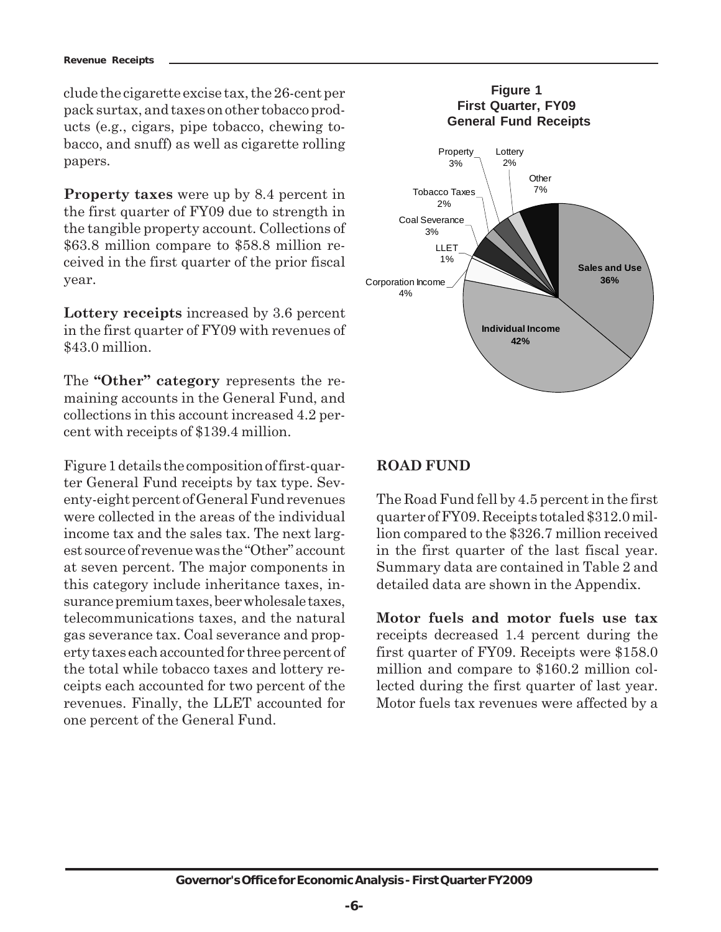clude the cigarette excise tax, the 26-cent per pack surtax, and taxes on other tobacco products (e.g., cigars, pipe tobacco, chewing tobacco, and snuff) as well as cigarette rolling papers.

**Property taxes** were up by 8.4 percent in the first quarter of FY09 due to strength in the tangible property account. Collections of \$63.8 million compare to \$58.8 million received in the first quarter of the prior fiscal year.

**Lottery receipts** increased by 3.6 percent in the first quarter of FY09 with revenues of \$43.0 million.

The **"Other" category** represents the remaining accounts in the General Fund, and collections in this account increased 4.2 percent with receipts of \$139.4 million.

Figure 1 details the composition of first-quarter General Fund receipts by tax type. Seventy-eight percent of General Fund revenues were collected in the areas of the individual income tax and the sales tax. The next largest source of revenue was the "Other" account at seven percent. The major components in this category include inheritance taxes, insurance premium taxes, beer wholesale taxes, telecommunications taxes, and the natural gas severance tax. Coal severance and property taxes each accounted for three percent of the total while tobacco taxes and lottery receipts each accounted for two percent of the revenues. Finally, the LLET accounted for one percent of the General Fund.

#### **Figure 1 First Quarter, FY09 General Fund Receipts** LLET 1% Coal Severance 3% Tobacco Taxes 2% **Individual Income 42%** Lottery 2% **Other** 7% **Sales and Use** Corporation Income **1** 36% 4% Property 3%

#### **ROAD FUND**

The Road Fund fell by 4.5 percent in the first quarter of FY09. Receipts totaled \$312.0 million compared to the \$326.7 million received in the first quarter of the last fiscal year. Summary data are contained in Table 2 and detailed data are shown in the Appendix.

**Motor fuels and motor fuels use tax** receipts decreased 1.4 percent during the first quarter of FY09. Receipts were \$158.0 million and compare to \$160.2 million collected during the first quarter of last year. Motor fuels tax revenues were affected by a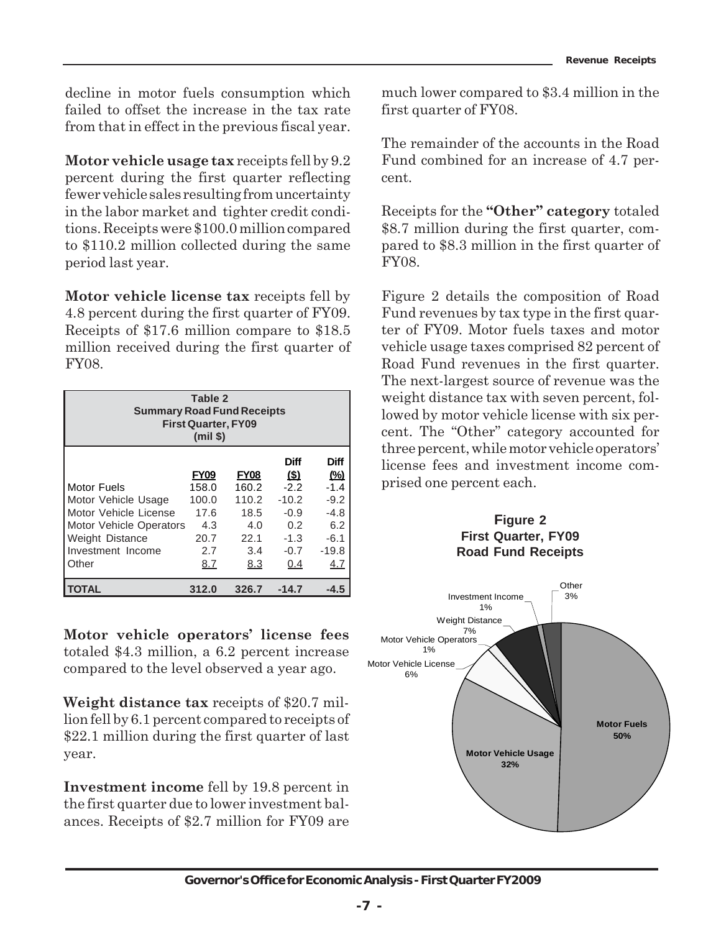from that in effect in the previous fiscal year. decline in motor fuels consumption which failed to offset the increase in the tax rate

**Motor vehicle usage tax** receipts fell by 9.2 percent during the first quarter reflecting fewer vehicle sales resulting from uncertainty in the labor market and tighter credit conditions. Receipts were \$100.0 million compared to \$110.2 million collected during the same period last year.

**Motor vehicle license tax** receipts fell by 4.8 percent during the first quarter of FY09. Receipts of \$17.6 million compare to \$18.5 million received during the first quarter of FY08.

| Table 2<br><b>Summary Road Fund Receipts</b><br><b>First Quarter, FY09</b><br>$(mil$ \$) |             |             |                 |             |  |
|------------------------------------------------------------------------------------------|-------------|-------------|-----------------|-------------|--|
|                                                                                          | <b>FY09</b> | <b>FY08</b> | Diff<br>$\circ$ | Diff<br>(%) |  |
| l Motor Fuels                                                                            | 158.0       | 160.2       | $-2.2$          | $-1.4$      |  |
| Motor Vehicle Usage                                                                      | 100.0       | 110.2       | $-10.2$         | $-9.2$      |  |
| Motor Vehicle License                                                                    | 17.6        | 18.5        | $-0.9$          | $-4.8$      |  |
| Motor Vehicle Operators                                                                  | 4.3         | 4.0         | 0.2             | 6.2         |  |
| Weight Distance                                                                          | 20.7        | 22.1        | $-1.3$          | $-6.1$      |  |
| Investment Income                                                                        | 2.7         | 3.4         | $-0.7$          | $-19.8$     |  |
| l Other                                                                                  | 8.7         | 8.3         | 0.4             | 4.7         |  |
| <b>TOTAL</b>                                                                             | 312.0       | 326.7       | -14.7           | -4.5        |  |

**Motor vehicle operators' license fees** totaled \$4.3 million, a 6.2 percent increase compared to the level observed a year ago.

**Weight distance tax** receipts of \$20.7 million fell by 6.1 percent compared to receipts of \$22.1 million during the first quarter of last year.

**Investment income** fell by 19.8 percent in the first quarter due to lower investment balances. Receipts of \$2.7 million for FY09 are much lower compared to \$3.4 million in the first quarter of FY08.

The remainder of the accounts in the Road Fund combined for an increase of 4.7 percent.

Receipts for the **"Other" category** totaled \$8.7 million during the first quarter, compared to \$8.3 million in the first quarter of FY08.

Figure 2 details the composition of Road Fund revenues by tax type in the first quarter of FY09. Motor fuels taxes and motor vehicle usage taxes comprised 82 percent of Road Fund revenues in the first quarter. The next-largest source of revenue was the weight distance tax with seven percent, followed by motor vehicle license with six percent. The "Other" category accounted for three percent, while motor vehicle operators' license fees and investment income comprised one percent each.



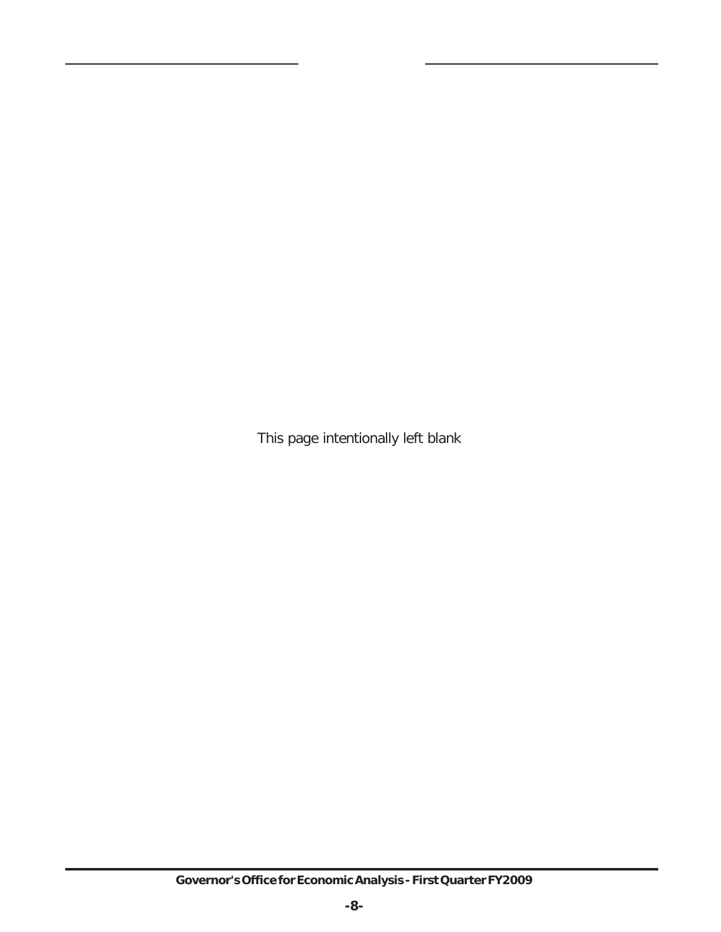This page intentionally left blank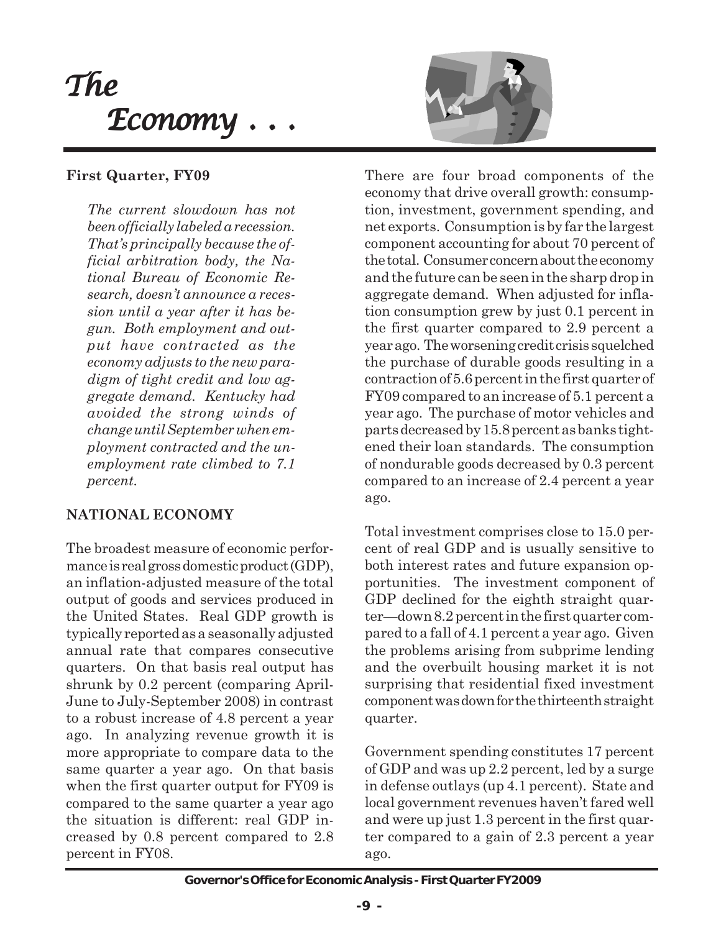# **Quarterly Economic & Revene Report First Quarter 2007** *Economy . . . . Economy . . The*



#### **First Quarter, FY09**

*The current slowdown has not been officially labeled a recession. That's principally because the official arbitration body, the National Bureau of Economic Research, doesn't announce a recession until a year after it has begun. Both employment and output have contracted as the economy adjusts to the new paradigm of tight credit and low aggregate demand. Kentucky had avoided the strong winds of change until September when employment contracted and the unemployment rate climbed to 7.1 percent.*

#### **NATIONAL ECONOMY**

The broadest measure of economic performance is real gross domestic product (GDP), an inflation-adjusted measure of the total output of goods and services produced in the United States. Real GDP growth is typically reported as a seasonally adjusted annual rate that compares consecutive quarters. On that basis real output has shrunk by 0.2 percent (comparing April-June to July-September 2008) in contrast to a robust increase of 4.8 percent a year ago. In analyzing revenue growth it is more appropriate to compare data to the same quarter a year ago. On that basis when the first quarter output for FY09 is compared to the same quarter a year ago the situation is different: real GDP increased by 0.8 percent compared to 2.8 percent in FY08.

There are four broad components of the economy that drive overall growth: consumption, investment, government spending, and net exports. Consumption is by far the largest component accounting for about 70 percent of the total. Consumer concern about the economy and the future can be seen in the sharp drop in aggregate demand. When adjusted for inflation consumption grew by just 0.1 percent in the first quarter compared to 2.9 percent a year ago. The worsening credit crisis squelched the purchase of durable goods resulting in a contraction of 5.6 percent in the first quarter of FY09 compared to an increase of 5.1 percent a year ago. The purchase of motor vehicles and parts decreased by 15.8 percent as banks tightened their loan standards. The consumption of nondurable goods decreased by 0.3 percent compared to an increase of 2.4 percent a year ago.

Total investment comprises close to 15.0 percent of real GDP and is usually sensitive to both interest rates and future expansion opportunities. The investment component of GDP declined for the eighth straight quarter—down 8.2 percent in the first quarter compared to a fall of 4.1 percent a year ago. Given the problems arising from subprime lending and the overbuilt housing market it is not surprising that residential fixed investment component was down for the thirteenth straight quarter.

Government spending constitutes 17 percent of GDP and was up 2.2 percent, led by a surge in defense outlays (up 4.1 percent). State and local government revenues haven't fared well and were up just 1.3 percent in the first quarter compared to a gain of 2.3 percent a year ago.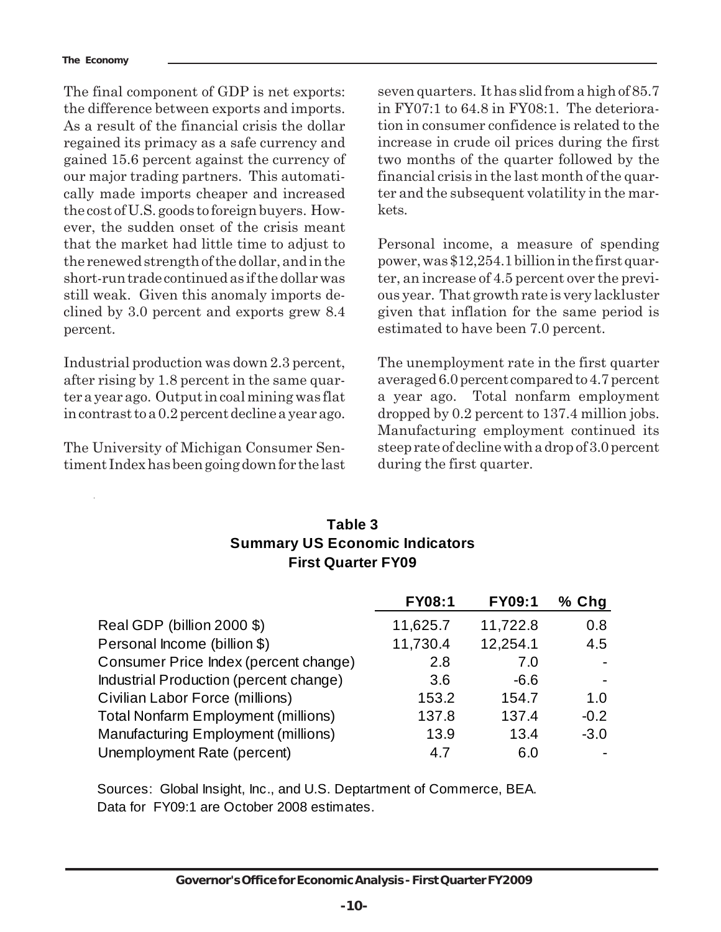The final component of GDP is net exports: the difference between exports and imports. As a result of the financial crisis the dollar regained its primacy as a safe currency and gained 15.6 percent against the currency of our major trading partners. This automatically made imports cheaper and increased the cost of U.S. goods to foreign buyers. However, the sudden onset of the crisis meant that the market had little time to adjust to the renewed strength of the dollar, and in the short-run trade continued as if the dollar was still weak. Given this anomaly imports declined by 3.0 percent and exports grew 8.4 percent.

Industrial production was down 2.3 percent, after rising by 1.8 percent in the same quarter a year ago. Output in coal mining was flat in contrast to a 0.2 percent decline a year ago.

The University of Michigan Consumer Sentiment Index has been going down for the last seven quarters. It has slid from a high of 85.7 in FY07:1 to 64.8 in FY08:1. The deterioration in consumer confidence is related to the increase in crude oil prices during the first two months of the quarter followed by the financial crisis in the last month of the quarter and the subsequent volatility in the markets.

Personal income, a measure of spending power, was \$12,254.1 billion in the first quarter, an increase of 4.5 percent over the previous year. That growth rate is very lackluster given that inflation for the same period is estimated to have been 7.0 percent.

The unemployment rate in the first quarter averaged 6.0 percent compared to 4.7 percent a year ago. Total nonfarm employment dropped by 0.2 percent to 137.4 million jobs. Manufacturing employment continued its steep rate of decline with a drop of 3.0 percent during the first quarter.

#### **Table 3 Summary US Economic Indicators First Quarter FY09**

|                                            | <b>FY08:1</b> | <b>FY09:1</b> | $%$ Chg |
|--------------------------------------------|---------------|---------------|---------|
| Real GDP (billion 2000 \$)                 | 11,625.7      | 11,722.8      | 0.8     |
| Personal Income (billion \$)               | 11,730.4      | 12,254.1      | 4.5     |
| Consumer Price Index (percent change)      | 2.8           | 7.0           |         |
| Industrial Production (percent change)     | 3.6           | $-6.6$        |         |
| Civilian Labor Force (millions)            | 153.2         | 154.7         | 1.0     |
| <b>Total Nonfarm Employment (millions)</b> | 137.8         | 137.4         | $-0.2$  |
| <b>Manufacturing Employment (millions)</b> | 13.9          | 13.4          | $-3.0$  |
| Unemployment Rate (percent)                | 4.7           | 6.0           |         |

Sources: Global Insight, Inc., and U.S. Deptartment of Commerce, BEA. Data for FY09:1 are October 2008 estimates.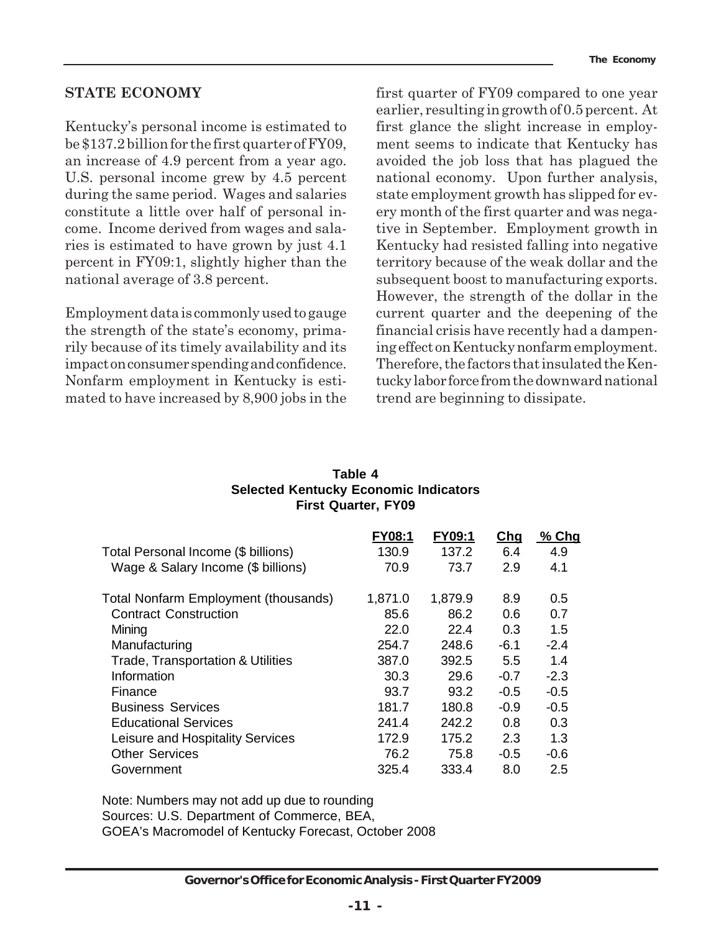#### **STATE ECONOMY**

**EXECUTE:** THE FIRST FIRST FIRST FIRST FIRST FIRST FIRST PROPERTY OF STATE AND THE STATE OF STATE OF STATE OF STATE OF STATE OF STATE OF STATE OF STATE OF STATE OF STATE OF STATE OF STATE OF STATE OF STATE OF STATE OF STAT Kentucky's personal income is estimated to an increase of 4.9 percent from a year ago. U.S. personal income grew by 4.5 percent during the same period. Wages and salaries constitute a little over half of personal income. Income derived from wages and salaries is estimated to have grown by just 4.1 percent in FY09:1, slightly higher than the national average of 3.8 percent.

Employment data is commonly used to gauge the strength of the state's economy, primarily because of its timely availability and its impact on consumer spending and confidence. Nonfarm employment in Kentucky is estimated to have increased by 8,900 jobs in the first quarter of FY09 compared to one year earlier, resulting in growth of 0.5 percent. At first glance the slight increase in employment seems to indicate that Kentucky has avoided the job loss that has plagued the national economy. Upon further analysis, state employment growth has slipped for every month of the first quarter and was negative in September. Employment growth in Kentucky had resisted falling into negative territory because of the weak dollar and the subsequent boost to manufacturing exports. However, the strength of the dollar in the current quarter and the deepening of the financial crisis have recently had a dampening effect on Kentucky nonfarm employment. Therefore, the factors that insulated the Kentucky labor force from the downward national trend are beginning to dissipate.

#### **Table 4 Selected Kentucky Economic Indicators First Quarter, FY09**

| <b>FY08:1</b> | <b>FY09:1</b> | <u>Chq</u> | <u>% Chq</u> |
|---------------|---------------|------------|--------------|
| 130.9         | 137.2         | 6.4        | 4.9          |
| 70.9          | 73.7          | 2.9        | 4.1          |
| 1,871.0       | 1,879.9       | 8.9        | 0.5          |
| 85.6          | 86.2          | 0.6        | 0.7          |
| 22.0          | 22.4          | 0.3        | 1.5          |
| 254.7         | 248.6         | $-6.1$     | $-2.4$       |
| 387.0         | 392.5         | 5.5        | 1.4          |
| 30.3          | 29.6          | $-0.7$     | $-2.3$       |
| 93.7          | 93.2          | $-0.5$     | $-0.5$       |
| 181.7         | 180.8         | $-0.9$     | $-0.5$       |
| 241.4         | 242.2         | 0.8        | 0.3          |
| 172.9         | 175.2         | 2.3        | 1.3          |
| 76.2          | 75.8          | $-0.5$     | $-0.6$       |
| 325.4         | 333.4         | 8.0        | 2.5          |
|               |               |            |              |

Note: Numbers may not add up due to rounding Sources: U.S. Department of Commerce, BEA, GOEA's Macromodel of Kentucky Forecast, October 2008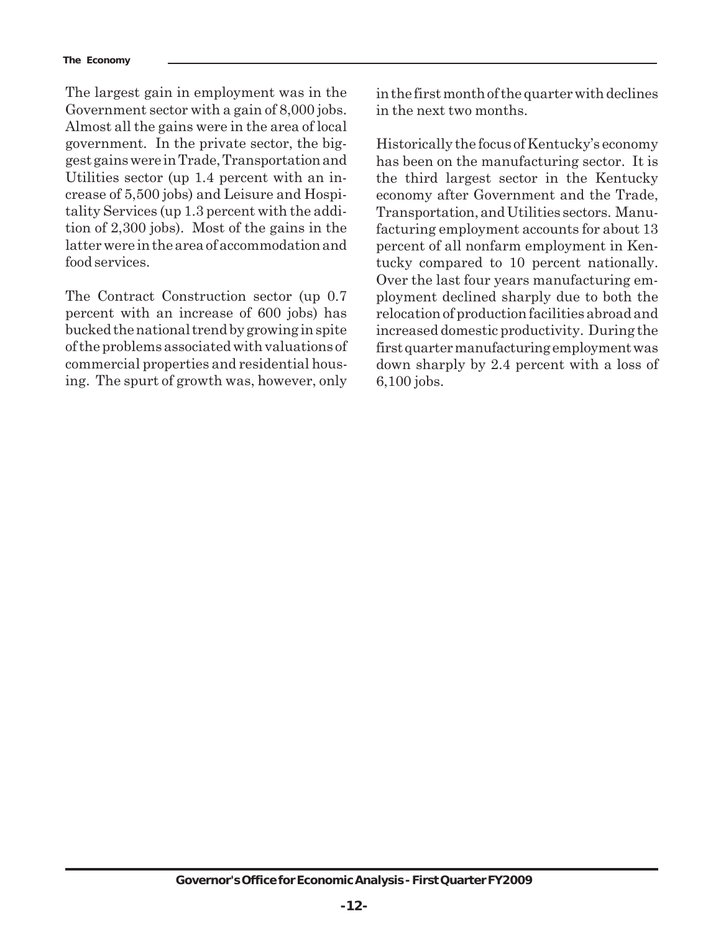The largest gain in employment was in the Government sector with a gain of 8,000 jobs. Almost all the gains were in the area of local government. In the private sector, the biggest gains were in Trade, Transportation and Utilities sector (up 1.4 percent with an increase of 5,500 jobs) and Leisure and Hospitality Services (up 1.3 percent with the addition of 2,300 jobs). Most of the gains in the latter were in the area of accommodation and food services.

The Contract Construction sector (up 0.7 percent with an increase of 600 jobs) has bucked the national trend by growing in spite of the problems associated with valuations of commercial properties and residential housing. The spurt of growth was, however, only in the first month of the quarter with declines in the next two months.

Historically the focus of Kentucky's economy has been on the manufacturing sector. It is the third largest sector in the Kentucky economy after Government and the Trade, Transportation, and Utilities sectors. Manufacturing employment accounts for about 13 percent of all nonfarm employment in Kentucky compared to 10 percent nationally. Over the last four years manufacturing employment declined sharply due to both the relocation of production facilities abroad and increased domestic productivity. During the first quarter manufacturing employment was down sharply by 2.4 percent with a loss of 6,100 jobs.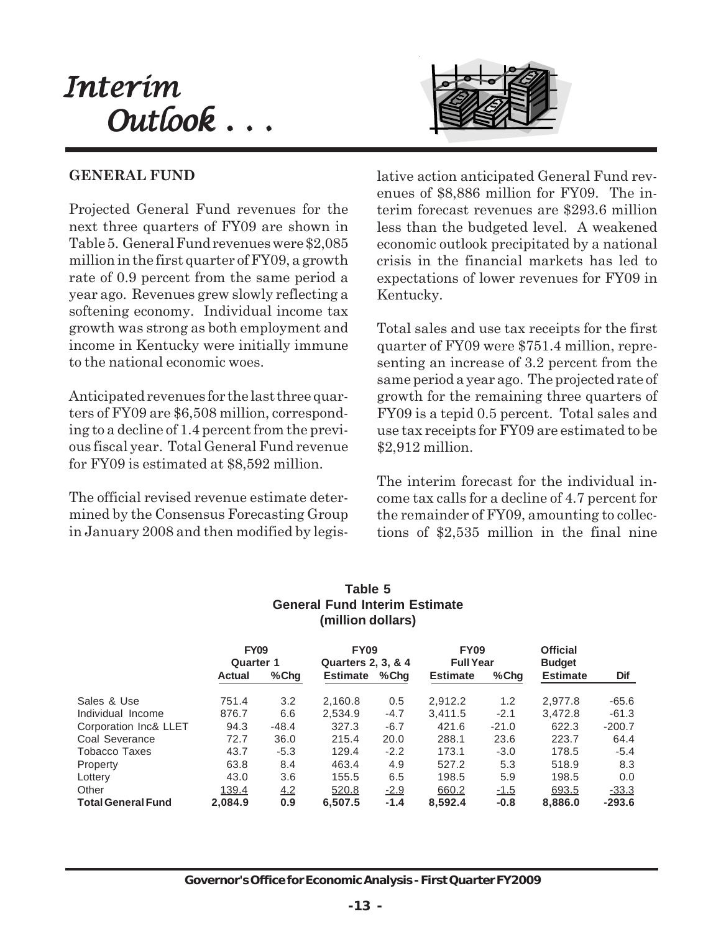## *Interim Outlook* . . .



#### **GENERAL FUND**

Projected General Fund revenues for the next three quarters of FY09 are shown in Table 5. General Fund revenues were \$2,085 million in the first quarter of FY09, a growth rate of 0.9 percent from the same period a year ago. Revenues grew slowly reflecting a softening economy. Individual income tax growth was strong as both employment and income in Kentucky were initially immune to the national economic woes.

Anticipated revenues for the last three quarters of FY09 are \$6,508 million, corresponding to a decline of 1.4 percent from the previous fiscal year. Total General Fund revenue for FY09 is estimated at \$8,592 million.

The official revised revenue estimate determined by the Consensus Forecasting Group in January 2008 and then modified by legislative action anticipated General Fund revenues of \$8,886 million for FY09. The interim forecast revenues are \$293.6 million less than the budgeted level. A weakened economic outlook precipitated by a national crisis in the financial markets has led to expectations of lower revenues for FY09 in Kentucky.

Total sales and use tax receipts for the first quarter of FY09 were \$751.4 million, representing an increase of 3.2 percent from the same period a year ago. The projected rate of growth for the remaining three quarters of FY09 is a tepid 0.5 percent. Total sales and use tax receipts for FY09 are estimated to be \$2,912 million.

The interim forecast for the individual income tax calls for a decline of 4.7 percent for the remainder of FY09, amounting to collections of \$2,535 million in the final nine

#### **Table 5 General Fund Interim Estimate (million dollars)**

|                           | <b>FY09</b><br><b>Quarter 1</b> |         | <b>FY09</b><br><b>Quarters 2, 3, &amp; 4</b> |         | <b>FY09</b><br><b>Full Year</b> |         | <b>Official</b><br><b>Budget</b> |          |
|---------------------------|---------------------------------|---------|----------------------------------------------|---------|---------------------------------|---------|----------------------------------|----------|
|                           | <b>Actual</b>                   | $%$ Chq | <b>Estimate</b>                              | $%$ Chq | <b>Estimate</b>                 | $%$ Chg | <b>Estimate</b>                  | Dif      |
| Sales & Use               | 751.4                           | 3.2     | 2.160.8                                      | 0.5     | 2,912.2                         | 1.2     | 2.977.8                          | $-65.6$  |
| Individual Income         | 876.7                           | 6.6     | 2.534.9                                      | $-4.7$  | 3.411.5                         | $-2.1$  | 3.472.8                          | $-61.3$  |
| Corporation Inc& LLET     | 94.3                            | $-48.4$ | 327.3                                        | $-6.7$  | 421.6                           | $-21.0$ | 622.3                            | $-200.7$ |
| Coal Severance            | 72.7                            | 36.0    | 215.4                                        | 20.0    | 288.1                           | 23.6    | 223.7                            | 64.4     |
| Tobacco Taxes             | 43.7                            | $-5.3$  | 129.4                                        | $-2.2$  | 173.1                           | $-3.0$  | 178.5                            | $-5.4$   |
| Property                  | 63.8                            | 8.4     | 463.4                                        | 4.9     | 527.2                           | 5.3     | 518.9                            | 8.3      |
| Lottery                   | 43.0                            | 3.6     | 155.5                                        | 6.5     | 198.5                           | 5.9     | 198.5                            | 0.0      |
| Other                     | 139.4                           | 4.2     | 520.8                                        | $-2.9$  | 660.2                           | $-1.5$  | 693.5                            | $-33.3$  |
| <b>Total General Fund</b> | 2.084.9                         | 0.9     | 6.507.5                                      | $-1.4$  | 8.592.4                         | $-0.8$  | 8.886.0                          | $-293.6$ |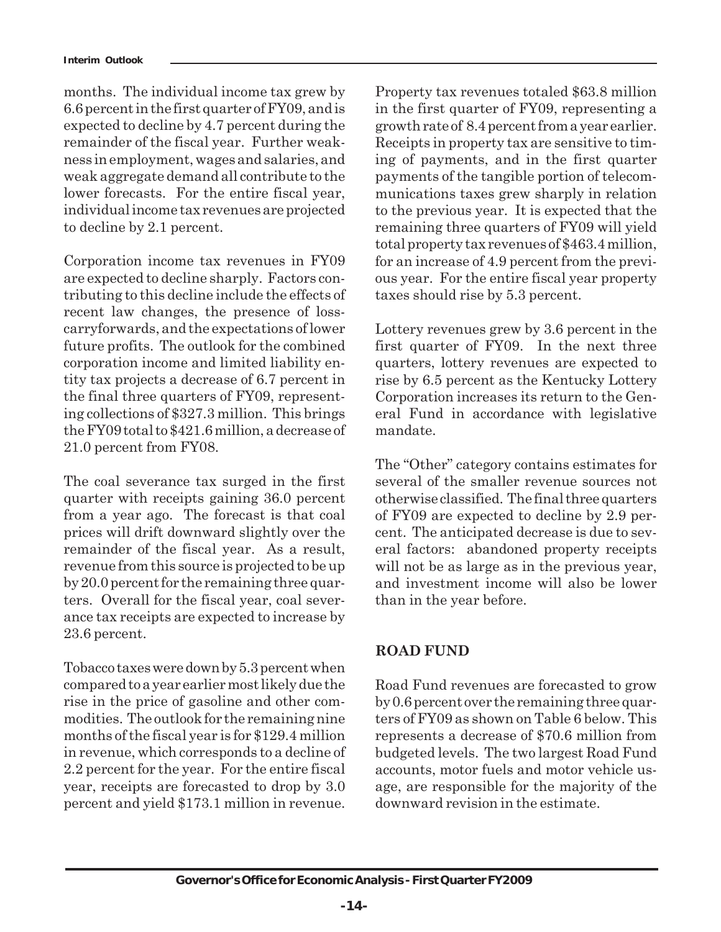months. The individual income tax grew by 6.6 percent in the first quarter of FY09, and is expected to decline by 4.7 percent during the remainder of the fiscal year. Further weakness in employment, wages and salaries, and weak aggregate demand all contribute to the lower forecasts. For the entire fiscal year, individual income tax revenues are projected to decline by 2.1 percent.

Corporation income tax revenues in FY09 are expected to decline sharply. Factors contributing to this decline include the effects of recent law changes, the presence of losscarryforwards, and the expectations of lower future profits. The outlook for the combined corporation income and limited liability entity tax projects a decrease of 6.7 percent in the final three quarters of FY09, representing collections of \$327.3 million. This brings the FY09 total to \$421.6 million, a decrease of 21.0 percent from FY08.

The coal severance tax surged in the first quarter with receipts gaining 36.0 percent from a year ago. The forecast is that coal prices will drift downward slightly over the remainder of the fiscal year. As a result, revenue from this source is projected to be up by 20.0 percent for the remaining three quarters. Overall for the fiscal year, coal severance tax receipts are expected to increase by 23.6 percent.

Tobacco taxes were down by 5.3 percent when compared to a year earlier most likely due the rise in the price of gasoline and other commodities. The outlook for the remaining nine months of the fiscal year is for \$129.4 million in revenue, which corresponds to a decline of 2.2 percent for the year. For the entire fiscal year, receipts are forecasted to drop by 3.0 percent and yield \$173.1 million in revenue. Property tax revenues totaled \$63.8 million in the first quarter of FY09, representing a growth rate of 8.4 percent from a year earlier. Receipts in property tax are sensitive to timing of payments, and in the first quarter payments of the tangible portion of telecommunications taxes grew sharply in relation to the previous year. It is expected that the remaining three quarters of FY09 will yield total property tax revenues of \$463.4 million, for an increase of 4.9 percent from the previous year. For the entire fiscal year property taxes should rise by 5.3 percent.

Lottery revenues grew by 3.6 percent in the first quarter of FY09. In the next three quarters, lottery revenues are expected to rise by 6.5 percent as the Kentucky Lottery Corporation increases its return to the General Fund in accordance with legislative mandate.

The "Other" category contains estimates for several of the smaller revenue sources not otherwise classified. The final three quarters of FY09 are expected to decline by 2.9 percent. The anticipated decrease is due to several factors: abandoned property receipts will not be as large as in the previous year, and investment income will also be lower than in the year before.

#### **ROAD FUND**

Road Fund revenues are forecasted to grow by 0.6 percent over the remaining three quarters of FY09 as shown on Table 6 below. This represents a decrease of \$70.6 million from budgeted levels. The two largest Road Fund accounts, motor fuels and motor vehicle usage, are responsible for the majority of the downward revision in the estimate.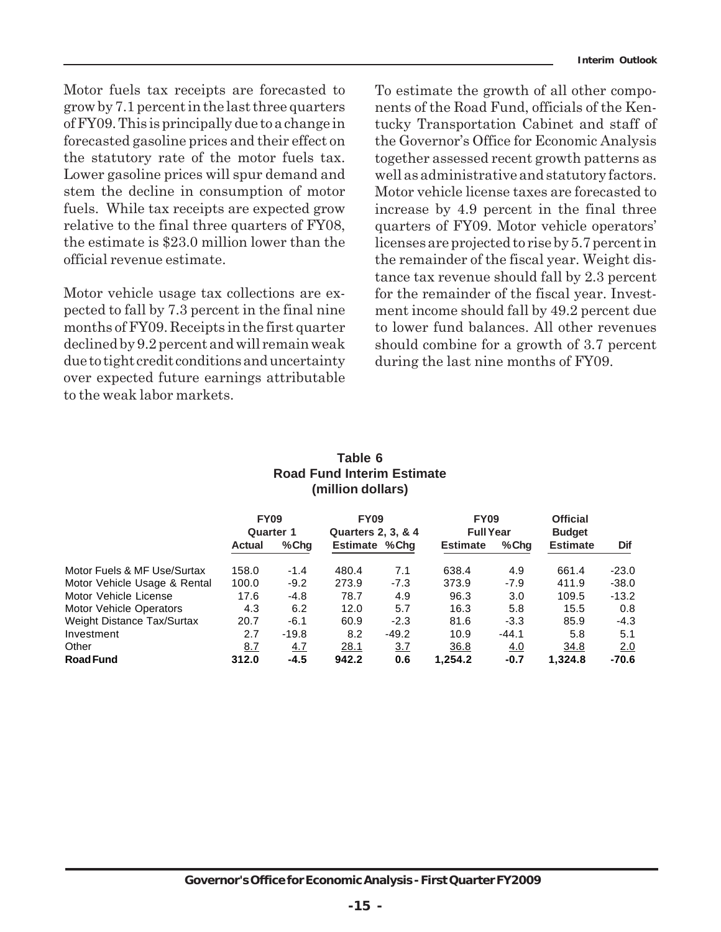forecasted gasoline prices and their effect on the Governor's Office for Economic Analysis Motor fuels tax receipts are forecasted to grow by 7.1 percent in the last three quarters of FY09. This is principally due to a change in the statutory rate of the motor fuels tax. Lower gasoline prices will spur demand and stem the decline in consumption of motor fuels. While tax receipts are expected grow relative to the final three quarters of FY08, the estimate is \$23.0 million lower than the official revenue estimate.

Motor vehicle usage tax collections are expected to fall by 7.3 percent in the final nine months of FY09. Receipts in the first quarter declined by 9.2 percent and will remain weak due to tight credit conditions and uncertainty over expected future earnings attributable to the weak labor markets.

To estimate the growth of all other components of the Road Fund, officials of the Kentucky Transportation Cabinet and staff of the Governor's Office for Economic Analysis together assessed recent growth patterns as well as administrative and statutory factors. Motor vehicle license taxes are forecasted to increase by 4.9 percent in the final three quarters of FY09. Motor vehicle operators' licenses are projected to rise by 5.7 percent in the remainder of the fiscal year. Weight distance tax revenue should fall by 2.3 percent for the remainder of the fiscal year. Investment income should fall by 49.2 percent due to lower fund balances. All other revenues should combine for a growth of 3.7 percent during the last nine months of FY09.

| Road Fund Interim Estimate<br>(million dollars) |                          |         |                                              |            |                                 |         |                                  |         |
|-------------------------------------------------|--------------------------|---------|----------------------------------------------|------------|---------------------------------|---------|----------------------------------|---------|
|                                                 | <b>FY09</b><br>Quarter 1 |         | <b>FY09</b><br><b>Quarters 2, 3, &amp; 4</b> |            | <b>FY09</b><br><b>Full Year</b> |         | <b>Official</b><br><b>Budget</b> |         |
|                                                 | <b>Actual</b>            | $%$ Chq | <b>Estimate %Chg</b>                         |            | <b>Estimate</b>                 | $%$ Chg | <b>Estimate</b>                  | Dif     |
| Motor Fuels & MF Use/Surtax                     | 158.0                    | $-1.4$  | 480.4                                        | 7.1        | 638.4                           | 4.9     | 661.4                            | $-23.0$ |
| Motor Vehicle Usage & Rental                    | 100.0                    | $-9.2$  | 273.9                                        | $-7.3$     | 373.9                           | $-7.9$  | 411.9                            | $-38.0$ |
| Motor Vehicle License                           | 17.6                     | $-4.8$  | 78.7                                         | 4.9        | 96.3                            | 3.0     | 109.5                            | $-13.2$ |
| <b>Motor Vehicle Operators</b>                  | 4.3                      | 6.2     | 12.0                                         | 5.7        | 16.3                            | 5.8     | 15.5                             | 0.8     |
| Weight Distance Tax/Surtax                      | 20.7                     | $-6.1$  | 60.9                                         | $-2.3$     | 81.6                            | $-3.3$  | 85.9                             | $-4.3$  |
| Investment                                      | 2.7                      | $-19.8$ | 8.2                                          | $-49.2$    | 10.9                            | $-44.1$ | 5.8                              | 5.1     |
| Other                                           | <u>8.7</u>               | 4.7     | 28.1                                         | <u>3.7</u> | 36.8                            | 4.0     | 34.8                             | 2.0     |
| <b>Road Fund</b>                                | 312.0                    | $-4.5$  | 942.2                                        | 0.6        | 1.254.2                         | $-0.7$  | 1.324.8                          | $-70.6$ |

### **Table 6 Road Fund Interim Estimate**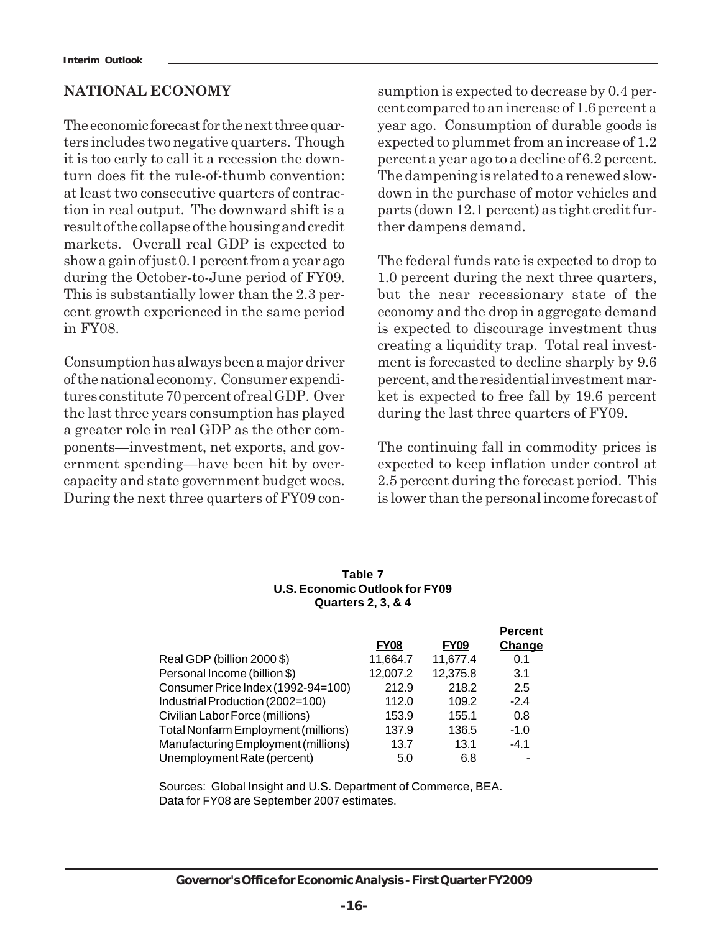#### **NATIONAL ECONOMY**

The economic forecast for the next three quarters includes two negative quarters. Though it is too early to call it a recession the downturn does fit the rule-of-thumb convention: at least two consecutive quarters of contraction in real output. The downward shift is a result of the collapse of the housing and credit markets. Overall real GDP is expected to show a gain of just 0.1 percent from a year ago during the October-to-June period of FY09. This is substantially lower than the 2.3 percent growth experienced in the same period in FY08.

Consumption has always been a major driver of the national economy. Consumer expenditures constitute 70 percent of real GDP. Over the last three years consumption has played a greater role in real GDP as the other components—investment, net exports, and government spending—have been hit by overcapacity and state government budget woes. During the next three quarters of FY09 consumption is expected to decrease by 0.4 percent compared to an increase of 1.6 percent a year ago. Consumption of durable goods is expected to plummet from an increase of 1.2 percent a year ago to a decline of 6.2 percent. The dampening is related to a renewed slowdown in the purchase of motor vehicles and parts (down 12.1 percent) as tight credit further dampens demand.

The federal funds rate is expected to drop to 1.0 percent during the next three quarters, but the near recessionary state of the economy and the drop in aggregate demand is expected to discourage investment thus creating a liquidity trap. Total real investment is forecasted to decline sharply by 9.6 percent, and the residential investment market is expected to free fall by 19.6 percent during the last three quarters of FY09.

The continuing fall in commodity prices is expected to keep inflation under control at 2.5 percent during the forecast period. This is lower than the personal income forecast of

#### **Table 7 U.S. Economic Outlook for FY09 Quarters 2, 3, & 4**

|                                            |             |             | <b>Percent</b> |
|--------------------------------------------|-------------|-------------|----------------|
|                                            | <b>FY08</b> | <b>FY09</b> | Change         |
| Real GDP (billion 2000 \$)                 | 11,664.7    | 11,677.4    | 0.1            |
| Personal Income (billion \$)               | 12,007.2    | 12,375.8    | 3.1            |
| Consumer Price Index (1992-94=100)         | 212.9       | 218.2       | 2.5            |
| Industrial Production (2002=100)           | 112.0       | 109.2       | $-2.4$         |
| Civilian Labor Force (millions)            | 153.9       | 155.1       | 0.8            |
| <b>Total Nonfarm Employment (millions)</b> | 137.9       | 136.5       | $-1.0$         |
| Manufacturing Employment (millions)        | 13.7        | 13.1        | $-4.1$         |
| Unemployment Rate (percent)                | 5.0         | 6.8         |                |

Sources: Global Insight and U.S. Department of Commerce, BEA. Data for FY08 are September 2007 estimates.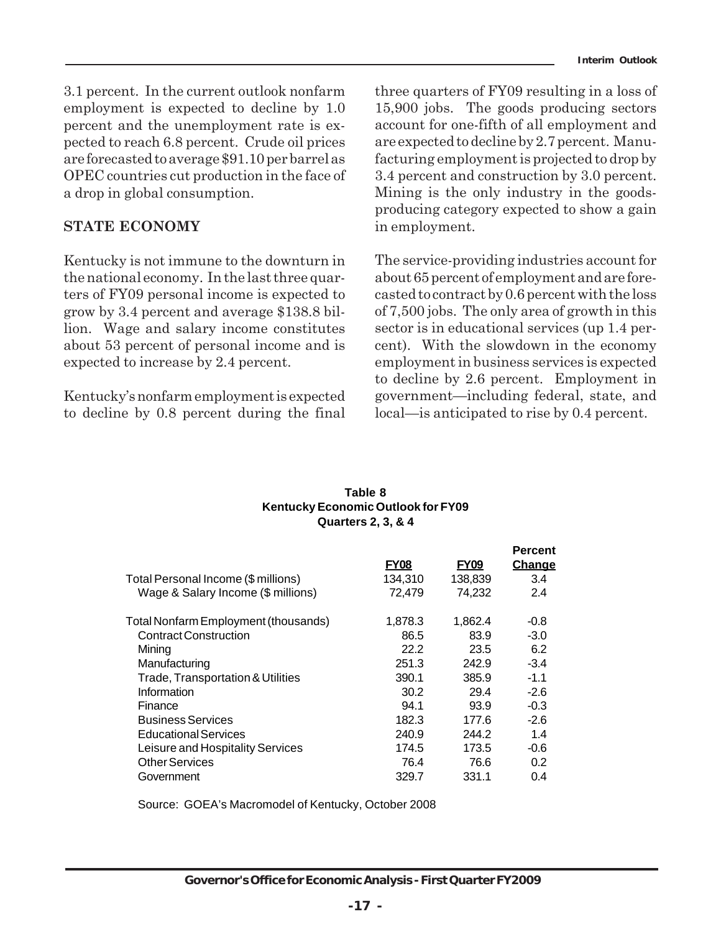percent and the anempty ment rate is ex<br>pected to reach 6.8 percent. Crude oil prices are expected to decline by 2.7 percent. Manu 3.1 percent. In the current outlook nonfarm employment is expected to decline by 1.0 percent and the unemployment rate is exare forecasted to average \$91.10 per barrel as OPEC countries cut production in the face of a drop in global consumption.

#### **STATE ECONOMY**

Kentucky is not immune to the downturn in the national economy. In the last three quarters of FY09 personal income is expected to grow by 3.4 percent and average \$138.8 billion. Wage and salary income constitutes about 53 percent of personal income and is expected to increase by 2.4 percent.

Kentucky's nonfarm employment is expected to decline by 0.8 percent during the final three quarters of FY09 resulting in a loss of 15,900 jobs. The goods producing sectors account for one-fifth of all employment and are expected to decline by 2.7 percent. Manufacturing employment is projected to drop by 3.4 percent and construction by 3.0 percent. Mining is the only industry in the goodsproducing category expected to show a gain in employment.

The service-providing industries account for about 65 percent of employment and are forecasted to contract by 0.6 percent with the loss of 7,500 jobs. The only area of growth in this sector is in educational services (up 1.4 percent). With the slowdown in the economy employment in business services is expected to decline by 2.6 percent. Employment in government—including federal, state, and local—is anticipated to rise by 0.4 percent.

#### **Table 8 Kentucky Economic Outlook for FY09 Quarters 2, 3, & 4**

|                                      |             |             | <b>Percent</b> |
|--------------------------------------|-------------|-------------|----------------|
|                                      | <b>FY08</b> | <b>FY09</b> | <b>Change</b>  |
| Total Personal Income (\$ millions)  | 134,310     | 138,839     | 3.4            |
| Wage & Salary Income (\$ millions)   | 72,479      | 74,232      | 2.4            |
| Total Nonfarm Employment (thousands) | 1,878.3     | 1,862.4     | $-0.8$         |
| <b>Contract Construction</b>         | 86.5        | 83.9        | $-3.0$         |
| Mining                               | 22.2        | 23.5        | 6.2            |
| Manufacturing                        | 251.3       | 242.9       | $-3.4$         |
| Trade, Transportation & Utilities    | 390.1       | 385.9       | $-1.1$         |
| Information                          | 30.2        | 29.4        | $-2.6$         |
| Finance                              | 94.1        | 93.9        | $-0.3$         |
| <b>Business Services</b>             | 182.3       | 177.6       | $-2.6$         |
| <b>Educational Services</b>          | 240.9       | 244.2       | 1.4            |
| Leisure and Hospitality Services     | 174.5       | 173.5       | $-0.6$         |
| <b>Other Services</b>                | 76.4        | 76.6        | 0.2            |
| Government                           | 329.7       | 331.1       | 0.4            |

Source: GOEA's Macromodel of Kentucky, October 2008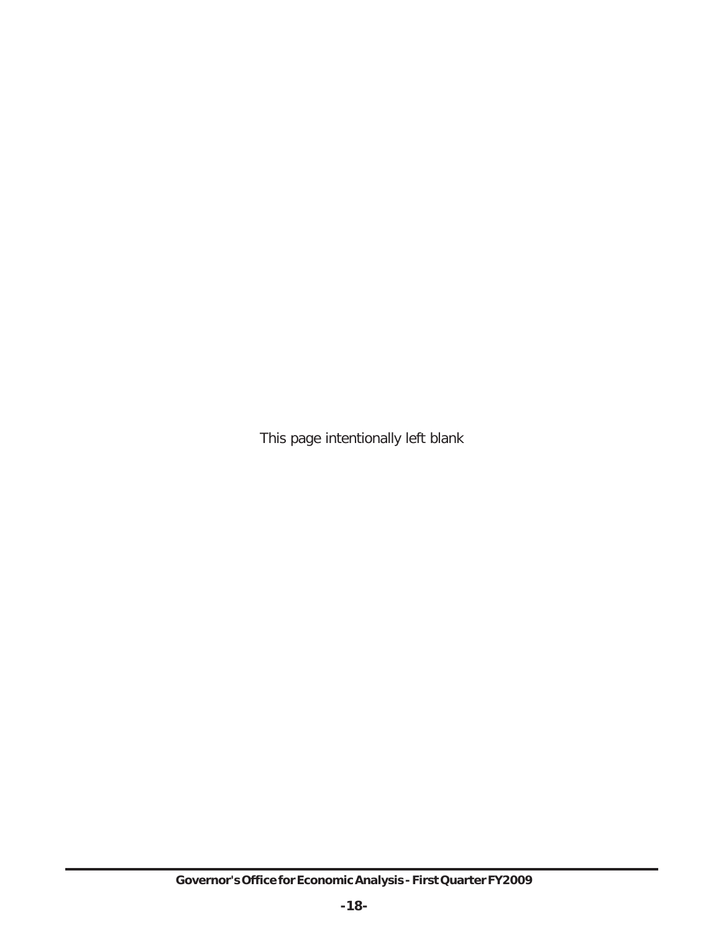This page intentionally left blank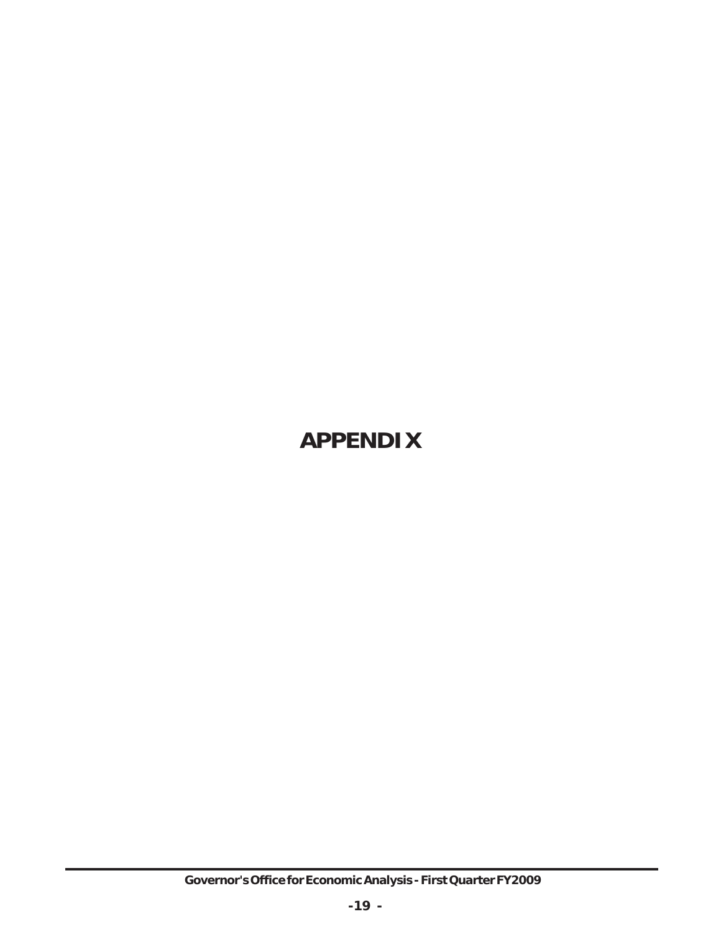## **APPENDIX**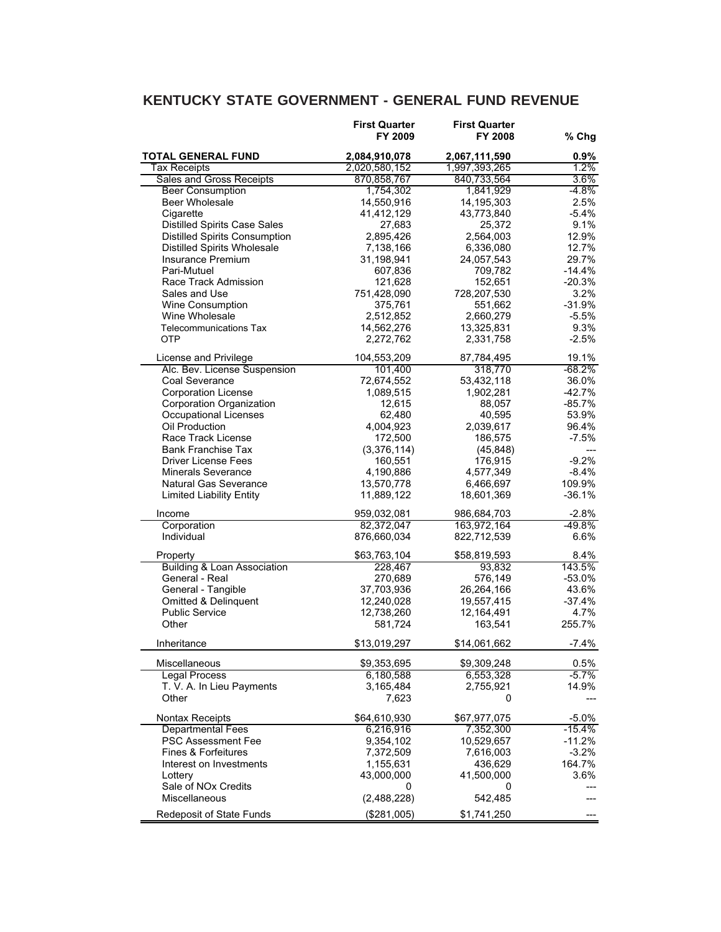|                                                           | <b>First Quarter</b><br>FY 2009 | <b>First Quarter</b><br>FY 2008 | $%$ Chg              |
|-----------------------------------------------------------|---------------------------------|---------------------------------|----------------------|
| <b>TOTAL GENERAL FUND</b>                                 | 2,084,910,078                   | 2,067,111,590                   | $0.9\%$              |
| <b>Tax Receipts</b>                                       | 2,020,580,152                   | 1,997,393,265                   | 1.2%                 |
| Sales and Gross Receipts                                  | 870,858,767                     | 840,733,564                     | $3.6\%$              |
| <b>Beer Consumption</b>                                   | 1,754,302                       | 1,841,929                       | $-4.8\%$             |
| <b>Beer Wholesale</b>                                     | 14,550,916                      | 14,195,303                      | 2.5%                 |
| Cigarette                                                 | 41,412,129                      | 43,773,840                      | $-5.4%$              |
| <b>Distilled Spirits Case Sales</b>                       | 27,683                          | 25,372                          | 9.1%                 |
| <b>Distilled Spirits Consumption</b>                      | 2,895,426                       | 2,564,003                       | 12.9%                |
| <b>Distilled Spirits Wholesale</b>                        | 7,138,166                       | 6,336,080                       | 12.7%                |
| Insurance Premium                                         | 31,198,941                      | 24,057,543                      | 29.7%                |
| Pari-Mutuel                                               | 607,836                         | 709.782                         | $-14.4%$             |
| Race Track Admission                                      | 121,628                         | 152,651                         | $-20.3%$             |
| Sales and Use                                             | 751,428,090                     | 728,207,530                     | 3.2%                 |
| Wine Consumption                                          | 375,761                         | 551,662                         | $-31.9%$             |
| Wine Wholesale                                            | 2,512,852                       | 2,660,279                       | $-5.5%$              |
| <b>Telecommunications Tax</b>                             | 14,562,276                      | 13,325,831                      | 9.3%                 |
| <b>OTP</b>                                                | 2,272,762                       | 2,331,758                       | $-2.5%$              |
| License and Privilege                                     | 104,553,209                     | 87,784,495                      | 19.1%                |
| Alc. Bev. License Suspension                              | 101,400                         | 318,770                         | $-68.2%$             |
| Coal Severance                                            | 72,674,552                      | 53,432,118                      | 36.0%                |
| <b>Corporation License</b>                                | 1,089,515                       | 1,902,281                       | $-42.7%$             |
| Corporation Organization                                  | 12,615                          | 88,057                          | $-85.7%$             |
| <b>Occupational Licenses</b>                              | 62,480                          | 40,595                          | 53.9%                |
| Oil Production                                            | 4,004,923                       | 2,039,617                       | 96.4%                |
| Race Track License                                        | 172,500                         | 186,575                         | $-7.5%$              |
| <b>Bank Franchise Tax</b>                                 | (3,376,114)                     | (45, 848)                       |                      |
| Driver License Fees                                       | 160,551                         | 176,915                         | $-9.2%$              |
| <b>Minerals Severance</b><br><b>Natural Gas Severance</b> | 4,190,886                       | 4,577,349                       | $-8.4%$<br>109.9%    |
|                                                           | 13,570,778<br>11,889,122        | 6,466,697<br>18,601,369         | $-36.1%$             |
| <b>Limited Liability Entity</b>                           |                                 |                                 |                      |
| Income<br>Corporation                                     | 959,032,081<br>82,372,047       | 986,684,703<br>163,972,164      | $-2.8%$<br>$-49.8\%$ |
| Individual                                                | 876,660,034                     | 822,712,539                     | 6.6%                 |
|                                                           |                                 |                                 |                      |
| Property                                                  | \$63,763,104                    | \$58,819,593                    | 8.4%                 |
| <b>Building &amp; Loan Association</b>                    | 228,467                         | 93,832                          | 143.5%               |
| General - Real                                            | 270,689                         | 576,149                         | $-53.0%$             |
| General - Tangible                                        | 37,703,936                      | 26,264,166                      | 43.6%                |
| Omitted & Delinquent<br><b>Public Service</b>             | 12,240,028                      | 19,557,415                      | $-37.4%$<br>4.7%     |
| Other                                                     | 12,738,260                      | 12,164,491                      |                      |
|                                                           | 581,724                         | 163,541                         | 255.7%               |
| Inheritance                                               | \$13,019,297                    | \$14,061,662                    | $-7.4\%$             |
| Miscellaneous                                             | \$9,353,695                     | \$9,309,248                     | 0.5%                 |
| <b>Legal Process</b>                                      | 6,180,588                       | 6,553,328                       | $-5.7%$              |
| T. V. A. In Lieu Payments                                 | 3,165,484                       | 2,755,921                       | 14.9%                |
| Other                                                     | 7,623                           | 0                               |                      |
| Nontax Receipts                                           | \$64,610,930                    | \$67,977,075                    | $-5.0%$              |
| <b>Departmental Fees</b>                                  | 6,216,916                       | 7,352,300                       | $-15.4%$             |
| <b>PSC Assessment Fee</b>                                 | 9,354,102                       | 10,529,657                      | $-11.2%$             |
| <b>Fines &amp; Forfeitures</b>                            | 7,372,509                       | 7,616,003                       | $-3.2%$              |
| Interest on Investments                                   | 1,155,631                       | 436,629                         | 164.7%               |
| Lottery                                                   | 43,000,000                      | 41,500,000                      | 3.6%                 |
| Sale of NO <sub>x</sub> Credits                           | 0                               | 0                               |                      |
| Miscellaneous                                             | (2,488,228)                     | 542,485                         |                      |
| Redeposit of State Funds                                  | (\$281,005)                     | \$1,741,250                     |                      |

#### **KENTUCKY STATE GOVERNMENT - GENERAL FUND REVENUE**